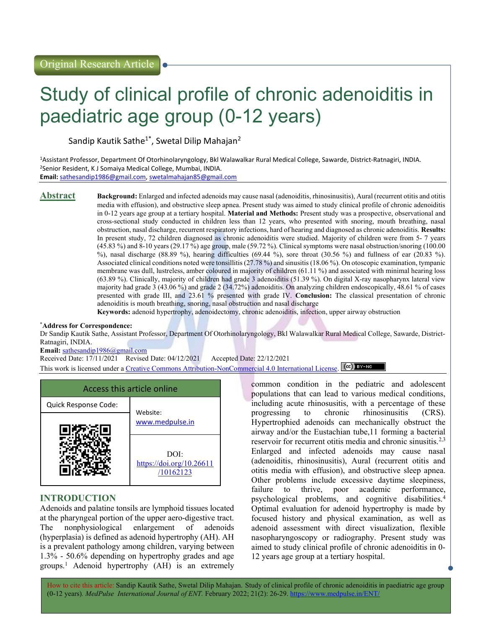# Study of clinical profile of chronic adenoiditis in paediatric age group (0-12 years)

Sandip Kautik Sathe<sup>1\*</sup>, Swetal Dilip Mahajan<sup>2</sup>

<sup>1</sup>Assistant Professor, Department Of Otorhinolaryngology, Bkl Walawalkar Rural Medical College, Sawarde, District-Ratnagiri, INDIA. <sup>2</sup>Senior Resident, K J Somaiya Medical College, Mumbai, INDIA. Email: sathesandip1986@gmail.com, swetalmahajan85@gmail.com

Abstract Background: Enlarged and infected adenoids may cause nasal (adenoiditis, rhinosinusitis), Aural (recurrent otitis and otitis media with effusion), and obstructive sleep apnea. Present study was aimed to study clinical profile of chronic adenoiditis in 0-12 years age group at a tertiary hospital. Material and Methods: Present study was a prospective, observational and cross-sectional study conducted in children less than 12 years, who presented with snoring, mouth breathing, nasal obstruction, nasal discharge, recurrent respiratory infections, hard of hearing and diagnosed as chronic adenoiditis. Results: In present study, 72 children diagnosed as chronic adenoiditis were studied. Majority of children were from 5- 7 years (45.83 %) and 8-10 years (29.17 %) age group, male (59.72 %). Clinical symptoms were nasal obstruction/snoring (100.00 %), nasal discharge (88.89 %), hearing difficulties (69.44 %), sore throat (30.56 %) and fullness of ear (20.83 %). Associated clinical conditions noted were tonsillitis (27.78 %) and sinusitis (18.06 %). On otoscopic examination, tympanic membrane was dull, lustreless, amber coloured in majority of children (61.11 %) and associated with minimal hearing loss (63.89 %). Clinically, majority of children had grade 3 adenoiditis (51.39 %). On digital X-ray nasopharynx lateral view majority had grade 3 (43.06 %) and grade 2 (34.72%) adenoiditis. On analyzing children endoscopically, 48.61 % of cases presented with grade III, and 23.61 % presented with grade IV. Conclusion: The classical presentation of chronic adenoiditis is mouth breathing, snoring, nasal obstruction and nasal discharge

Keywords: adenoid hypertrophy, adenoidectomy, chronic adenoiditis, infection, upper airway obstruction

#### \*Address for Correspondence:

Dr Sandip Kautik Sathe, Assistant Professor, Department Of Otorhinolaryngology, Bkl Walawalkar Rural Medical College, Sawarde, District-Ratnagiri, INDIA.

Email: sathesandip1986@gmail.com

Received Date: 17/11/2021 Revised Date: 04/12/2021 Accepted Date: 22/12/2021

This work is licensed under a Creative Commons Attribution-NonCommercial 4.0 International License. (cc) BY-NO

| Access this article online |                                               |  |
|----------------------------|-----------------------------------------------|--|
| Quick Response Code:       | Website:                                      |  |
|                            | www.medpulse.in                               |  |
|                            | DOI:<br>https://doi.org/10.26611<br>/10162123 |  |

## INTRODUCTION

I

Adenoids and palatine tonsils are lymphoid tissues located at the pharyngeal portion of the upper aero-digestive tract. The nonphysiological enlargement of adenoids (hyperplasia) is defined as adenoid hypertrophy (AH). AH is a prevalent pathology among children, varying between 1.3% - 50.6% depending on hypertrophy grades and age groups.<sup>1</sup> Adenoid hypertrophy (AH) is an extremely common condition in the pediatric and adolescent populations that can lead to various medical conditions, including acute rhinosusitis, with a percentage of these progressing to chronic rhinosinusitis (CRS). Hypertrophied adenoids can mechanically obstruct the airway and/or the Eustachian tube,11 forming a bacterial reservoir for recurrent otitis media and chronic sinusitis.2,3 Enlarged and infected adenoids may cause nasal (adenoiditis, rhinosinusitis), Aural (recurrent otitis and otitis media with effusion), and obstructive sleep apnea. Other problems include excessive daytime sleepiness, failure to thrive, poor academic performance, psychological problems, and cognitive disabilities.<sup>4</sup> Optimal evaluation for adenoid hypertrophy is made by focused history and physical examination, as well as adenoid assessment with direct visualization, flexible nasopharyngoscopy or radiography. Present study was aimed to study clinical profile of chronic adenoiditis in 0- 12 years age group at a tertiary hospital.

How to cite this article: Sandip Kautik Sathe, Swetal Dilip Mahajan. Study of clinical profile of chronic adenoiditis in paediatric age group (0-12 years). MedPulse International Journal of ENT. February 2022; 21(2): 26-29. https://www.medpulse.in/ENT/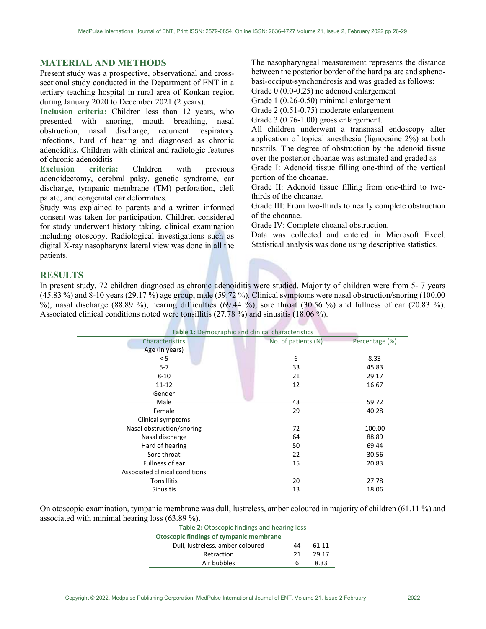#### MATERIAL AND METHODS

Present study was a prospective, observational and crosssectional study conducted in the Department of ENT in a tertiary teaching hospital in rural area of Konkan region during January 2020 to December 2021 (2 years).

Inclusion criteria: Children less than 12 years, who presented with snoring, mouth breathing, nasal obstruction, nasal discharge, recurrent respiratory infections, hard of hearing and diagnosed as chronic adenoiditis. Children with clinical and radiologic features of chronic adenoiditis

Exclusion criteria: Children with previous adenoidectomy, cerebral palsy, genetic syndrome, ear discharge, tympanic membrane (TM) perforation, cleft palate, and congenital ear deformities.

Study was explained to parents and a written informed consent was taken for participation. Children considered for study underwent history taking, clinical examination including otoscopy. Radiological investigations such as digital X-ray nasopharynx lateral view was done in all the patients.

The nasopharyngeal measurement represents the distance between the posterior border of the hard palate and sphenobasi-occiput-synchondrosis and was graded as follows: Grade 0 (0.0-0.25) no adenoid enlargement

Grade 1 (0.26-0.50) minimal enlargement

Grade 2 (0.51-0.75) moderate enlargement

Grade 3 (0.76-1.00) gross enlargement.

All children underwent a transnasal endoscopy after application of topical anesthesia (lignocaine 2%) at both nostrils. The degree of obstruction by the adenoid tissue over the posterior choanae was estimated and graded as Grade I: Adenoid tissue filling one-third of the vertical portion of the choanae.

Grade II: Adenoid tissue filling from one-third to twothirds of the choanae.

Grade III: From two-thirds to nearly complete obstruction of the choanae.

Grade IV: Complete choanal obstruction.

Data was collected and entered in Microsoft Excel. Statistical analysis was done using descriptive statistics.

### RESULTS

In present study, 72 children diagnosed as chronic adenoiditis were studied. Majority of children were from 5- 7 years (45.83 %) and 8-10 years (29.17 %) age group, male (59.72 %). Clinical symptoms were nasal obstruction/snoring (100.00 %), nasal discharge (88.89 %), hearing difficulties (69.44 %), sore throat (30.56 %) and fullness of ear (20.83 %). Associated clinical conditions noted were tonsillitis (27.78 %) and sinusitis (18.06 %).

|                                | Table 1: Demographic and clinical characteristics |                |  |
|--------------------------------|---------------------------------------------------|----------------|--|
| <b>Characteristics</b>         | No. of patients (N)                               | Percentage (%) |  |
| Age (in years)                 |                                                   |                |  |
| < 5                            | 6                                                 | 8.33           |  |
| $5 - 7$                        | 33                                                | 45.83          |  |
| $8 - 10$                       | 21                                                | 29.17          |  |
| $11 - 12$                      | 12                                                | 16.67          |  |
| Gender                         |                                                   |                |  |
| Male                           | 43                                                | 59.72          |  |
| Female                         | 29                                                | 40.28          |  |
| Clinical symptoms              |                                                   |                |  |
| Nasal obstruction/snoring      | 72                                                | 100.00         |  |
| Nasal discharge                | 64                                                | 88.89          |  |
| Hard of hearing                | 50                                                | 69.44          |  |
| Sore throat                    | 22                                                | 30.56          |  |
| Fullness of ear                | 15                                                | 20.83          |  |
| Associated clinical conditions |                                                   |                |  |
| Tonsillitis                    | 20                                                | 27.78          |  |
| <b>Sinusitis</b>               | 13                                                | 18.06          |  |

On otoscopic examination, tympanic membrane was dull, lustreless, amber coloured in majority of children (61.11 %) and associated with minimal hearing loss (63.89 %).

| Table 2: Otoscopic findings and hearing loss   |    |       |
|------------------------------------------------|----|-------|
| <b>Otoscopic findings of tympanic membrane</b> |    |       |
| Dull, lustreless, amber coloured               | 44 | 61.11 |
| Retraction                                     | 21 | 29.17 |
| Air bubbles                                    | h  | ८ २२  |
|                                                |    |       |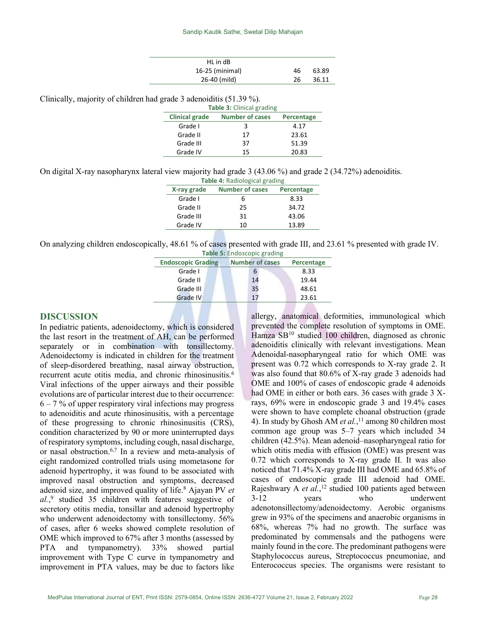| HL in dB        |    |       |
|-----------------|----|-------|
| 16-25 (minimal) | 46 | 63.89 |
| 26-40 (mild)    | 26 | 36.11 |

Clinically, majority of children had grade 3 adenoiditis (51.39 %).

| <b>Table 3: Clinical grading</b> |            |       |
|----------------------------------|------------|-------|
| <b>Clinical grade</b>            | Percentage |       |
| Grade I                          | 3          | 4.17  |
| Grade II                         | 17         | 23.61 |
| Grade III                        | 37         | 51.39 |
| Grade IV                         | 15         | 20.83 |

On digital X-ray nasopharynx lateral view majority had grade 3 (43.06 %) and grade 2 (34.72%) adenoiditis.

| Table 4: Radiological grading |                        |            |  |
|-------------------------------|------------------------|------------|--|
| X-ray grade                   | <b>Number of cases</b> | Percentage |  |
| Grade I                       | 6                      | 8.33       |  |
| Grade II                      | 25                     | 34.72      |  |
| Grade III                     | 31                     | 43.06      |  |
| Grade IV                      | 10                     | 13.89      |  |
|                               |                        |            |  |

On analyzing children endoscopically, 48.61 % of cases presented with grade III, and 23.61 % presented with grade IV.

| Table 5: Endoscopic grading |                        |            |  |
|-----------------------------|------------------------|------------|--|
| <b>Endoscopic Grading</b>   | <b>Number of cases</b> | Percentage |  |
| Grade I                     | 6                      | 8.33       |  |
| Grade II                    | 14                     | 19.44      |  |
| Grade III                   | 35                     | 48.61      |  |
| Grade IV                    | 17                     | 23.61      |  |
|                             |                        |            |  |

#### DISCUSSION

In pediatric patients, adenoidectomy, which is considered the last resort in the treatment of AH, can be performed separately or in combination with tonsillectomy. Adenoidectomy is indicated in children for the treatment of sleep-disordered breathing, nasal airway obstruction, recurrent acute otitis media, and chronic rhinosinusitis.<sup>6</sup> Viral infections of the upper airways and their possible evolutions are of particular interest due to their occurrence:  $6 - 7$  % of upper respiratory viral infections may progress to adenoiditis and acute rhinosinusitis, with a percentage of these progressing to chronic rhinosinusitis (CRS), condition characterized by 90 or more uninterrupted days of respiratory symptoms, including cough, nasal discharge, or nasal obstruction.6,7 In a review and meta-analysis of eight randomized controlled trials using mometasone for adenoid hypertrophy, it was found to be associated with improved nasal obstruction and symptoms, decreased adenoid size, and improved quality of life.<sup>8</sup> Ajayan PV et  $al$ ,<sup>9</sup> studied 35 children with features suggestive of secretory otitis media, tonsillar and adenoid hypertrophy who underwent adenoidectomy with tonsillectomy. 56% of cases, after 6 weeks showed complete resolution of OME which improved to 67% after 3 months (assessed by PTA and tympanometry). 33% showed partial improvement with Type C curve in tympanometry and improvement in PTA values, may be due to factors like

allergy, anatomical deformities, immunological which prevented the complete resolution of symptoms in OME. Hamza SB<sup>10</sup> studied 100 children, diagnosed as chronic adenoiditis clinically with relevant investigations. Mean Adenoidal-nasopharyngeal ratio for which OME was present was 0.72 which corresponds to X-ray grade 2. It was also found that 80.6% of X-ray grade 3 adenoids had OME and 100% of cases of endoscopic grade 4 adenoids had OME in either or both ears. 36 cases with grade 3 Xrays, 69% were in endoscopic grade 3 and 19.4% cases were shown to have complete choanal obstruction (grade 4). In study by Ghosh AM et  $al$ ,  $11$  among 80 children most common age group was 5–7 years which included 34 children (42.5%). Mean adenoid–nasopharyngeal ratio for which otitis media with effusion (OME) was present was 0.72 which corresponds to X-ray grade II. It was also noticed that 71.4% X-ray grade III had OME and 65.8% of cases of endoscopic grade III adenoid had OME. Rajeshwary A et al.,<sup>12</sup> studied 100 patients aged between 3-12 years who underwent adenotonsillectomy/adenoidectomy. Aerobic organisms grew in 93% of the specimens and anaerobic organisms in 68%, whereas 7% had no growth. The surface was predominated by commensals and the pathogens were mainly found in the core. The predominant pathogens were Staphylococcus aureus, Streptococcus pneumoniae, and Enterococcus species. The organisms were resistant to